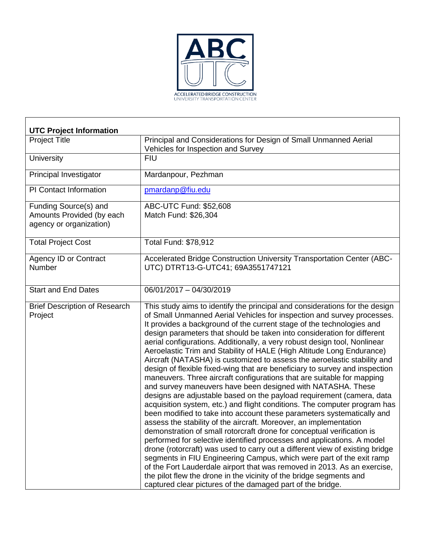

| <b>UTC Project Information</b>                                                |                                                                                                                                                                                                                                                                                                                                                                                                                                                                                                                                                                                                                                                                                                                                                                                                                                                                                                                                                                                                                                                                                                                                                                                                                                                                                                                                                                                                                                                                                                                                                                                                       |
|-------------------------------------------------------------------------------|-------------------------------------------------------------------------------------------------------------------------------------------------------------------------------------------------------------------------------------------------------------------------------------------------------------------------------------------------------------------------------------------------------------------------------------------------------------------------------------------------------------------------------------------------------------------------------------------------------------------------------------------------------------------------------------------------------------------------------------------------------------------------------------------------------------------------------------------------------------------------------------------------------------------------------------------------------------------------------------------------------------------------------------------------------------------------------------------------------------------------------------------------------------------------------------------------------------------------------------------------------------------------------------------------------------------------------------------------------------------------------------------------------------------------------------------------------------------------------------------------------------------------------------------------------------------------------------------------------|
| <b>Project Title</b>                                                          | Principal and Considerations for Design of Small Unmanned Aerial<br>Vehicles for Inspection and Survey                                                                                                                                                                                                                                                                                                                                                                                                                                                                                                                                                                                                                                                                                                                                                                                                                                                                                                                                                                                                                                                                                                                                                                                                                                                                                                                                                                                                                                                                                                |
| <b>University</b>                                                             | <b>FIU</b>                                                                                                                                                                                                                                                                                                                                                                                                                                                                                                                                                                                                                                                                                                                                                                                                                                                                                                                                                                                                                                                                                                                                                                                                                                                                                                                                                                                                                                                                                                                                                                                            |
| Principal Investigator                                                        | Mardanpour, Pezhman                                                                                                                                                                                                                                                                                                                                                                                                                                                                                                                                                                                                                                                                                                                                                                                                                                                                                                                                                                                                                                                                                                                                                                                                                                                                                                                                                                                                                                                                                                                                                                                   |
| <b>PI Contact Information</b>                                                 | pmardanp@fiu.edu                                                                                                                                                                                                                                                                                                                                                                                                                                                                                                                                                                                                                                                                                                                                                                                                                                                                                                                                                                                                                                                                                                                                                                                                                                                                                                                                                                                                                                                                                                                                                                                      |
| Funding Source(s) and<br>Amounts Provided (by each<br>agency or organization) | ABC-UTC Fund: \$52,608<br>Match Fund: \$26,304                                                                                                                                                                                                                                                                                                                                                                                                                                                                                                                                                                                                                                                                                                                                                                                                                                                                                                                                                                                                                                                                                                                                                                                                                                                                                                                                                                                                                                                                                                                                                        |
| <b>Total Project Cost</b>                                                     | Total Fund: \$78,912                                                                                                                                                                                                                                                                                                                                                                                                                                                                                                                                                                                                                                                                                                                                                                                                                                                                                                                                                                                                                                                                                                                                                                                                                                                                                                                                                                                                                                                                                                                                                                                  |
| <b>Agency ID or Contract</b><br>Number                                        | Accelerated Bridge Construction University Transportation Center (ABC-<br>UTC) DTRT13-G-UTC41; 69A3551747121                                                                                                                                                                                                                                                                                                                                                                                                                                                                                                                                                                                                                                                                                                                                                                                                                                                                                                                                                                                                                                                                                                                                                                                                                                                                                                                                                                                                                                                                                          |
| <b>Start and End Dates</b>                                                    | 06/01/2017 - 04/30/2019                                                                                                                                                                                                                                                                                                                                                                                                                                                                                                                                                                                                                                                                                                                                                                                                                                                                                                                                                                                                                                                                                                                                                                                                                                                                                                                                                                                                                                                                                                                                                                               |
| <b>Brief Description of Research</b><br>Project                               | This study aims to identify the principal and considerations for the design<br>of Small Unmanned Aerial Vehicles for inspection and survey processes.<br>It provides a background of the current stage of the technologies and<br>design parameters that should be taken into consideration for different<br>aerial configurations. Additionally, a very robust design tool, Nonlinear<br>Aeroelastic Trim and Stability of HALE (High Altitude Long Endurance)<br>Aircraft (NATASHA) is customized to assess the aeroelastic stability and<br>design of flexible fixed-wing that are beneficiary to survey and inspection<br>maneuvers. Three aircraft configurations that are suitable for mapping<br>and survey maneuvers have been designed with NATASHA. These<br>designs are adjustable based on the payload requirement (camera, data<br>acquisition system, etc.) and flight conditions. The computer program has<br>been modified to take into account these parameters systematically and<br>assess the stability of the aircraft. Moreover, an implementation<br>demonstration of small rotorcraft drone for conceptual verification is<br>performed for selective identified processes and applications. A model<br>drone (rotorcraft) was used to carry out a different view of existing bridge<br>segments in FIU Engineering Campus, which were part of the exit ramp<br>of the Fort Lauderdale airport that was removed in 2013. As an exercise,<br>the pilot flew the drone in the vicinity of the bridge segments and<br>captured clear pictures of the damaged part of the bridge. |